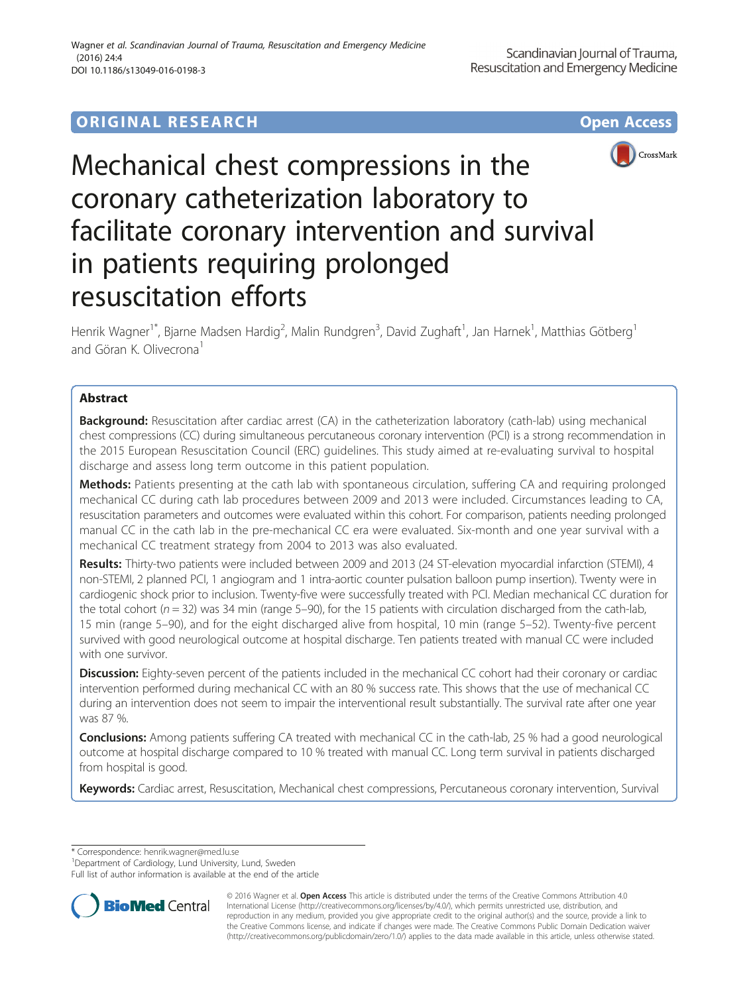# **ORIGINAL RESEARCH CONFIDENTIAL CONFIDENTIAL CONFIDENTIAL CONFIDENTIAL CONFIDENTIAL CONFIDENTIAL CONFIDENTIAL CONFIDENTIAL CONFIDENTIAL CONFIDENTIAL CONFIDENTIAL CONFIDENTIAL CONFIDENTIAL CONFIDENTIAL CONFIDENTIAL CONFIDEN**



Mechanical chest compressions in the coronary catheterization laboratory to facilitate coronary intervention and survival in patients requiring prolonged resuscitation efforts

Henrik Wagner<sup>1\*</sup>, Bjarne Madsen Hardig<sup>2</sup>, Malin Rundgren<sup>3</sup>, David Zughaft<sup>1</sup>, Jan Harnek<sup>1</sup>, Matthias Götberg<sup>1</sup> and Göran K. Olivecrona<sup>1</sup>

## Abstract

**Background:** Resuscitation after cardiac arrest (CA) in the catheterization laboratory (cath-lab) using mechanical chest compressions (CC) during simultaneous percutaneous coronary intervention (PCI) is a strong recommendation in the 2015 European Resuscitation Council (ERC) guidelines. This study aimed at re-evaluating survival to hospital discharge and assess long term outcome in this patient population.

Methods: Patients presenting at the cath lab with spontaneous circulation, suffering CA and requiring prolonged mechanical CC during cath lab procedures between 2009 and 2013 were included. Circumstances leading to CA, resuscitation parameters and outcomes were evaluated within this cohort. For comparison, patients needing prolonged manual CC in the cath lab in the pre-mechanical CC era were evaluated. Six-month and one year survival with a mechanical CC treatment strategy from 2004 to 2013 was also evaluated.

Results: Thirty-two patients were included between 2009 and 2013 (24 ST-elevation myocardial infarction (STEMI), 4 non-STEMI, 2 planned PCI, 1 angiogram and 1 intra-aortic counter pulsation balloon pump insertion). Twenty were in cardiogenic shock prior to inclusion. Twenty-five were successfully treated with PCI. Median mechanical CC duration for the total cohort ( $n = 32$ ) was 34 min (range 5–90), for the 15 patients with circulation discharged from the cath-lab, 15 min (range 5–90), and for the eight discharged alive from hospital, 10 min (range 5–52). Twenty-five percent survived with good neurological outcome at hospital discharge. Ten patients treated with manual CC were included with one survivor.

Discussion: Eighty-seven percent of the patients included in the mechanical CC cohort had their coronary or cardiac intervention performed during mechanical CC with an 80 % success rate. This shows that the use of mechanical CC during an intervention does not seem to impair the interventional result substantially. The survival rate after one year was 87 %.

**Conclusions:** Among patients suffering CA treated with mechanical CC in the cath-lab, 25 % had a good neurological outcome at hospital discharge compared to 10 % treated with manual CC. Long term survival in patients discharged from hospital is good.

Keywords: Cardiac arrest, Resuscitation, Mechanical chest compressions, Percutaneous coronary intervention, Survival

\* Correspondence: [henrik.wagner@med.lu.se](mailto:henrik.wagner@med.lu.se) <sup>1</sup>

<sup>1</sup>Department of Cardiology, Lund University, Lund, Sweden

Full list of author information is available at the end of the article



© 2016 Wagner et al. Open Access This article is distributed under the terms of the Creative Commons Attribution 4.0 International License [\(http://creativecommons.org/licenses/by/4.0/](http://creativecommons.org/licenses/by/4.0/)), which permits unrestricted use, distribution, and reproduction in any medium, provided you give appropriate credit to the original author(s) and the source, provide a link to the Creative Commons license, and indicate if changes were made. The Creative Commons Public Domain Dedication waiver [\(http://creativecommons.org/publicdomain/zero/1.0/](http://creativecommons.org/publicdomain/zero/1.0/)) applies to the data made available in this article, unless otherwise stated.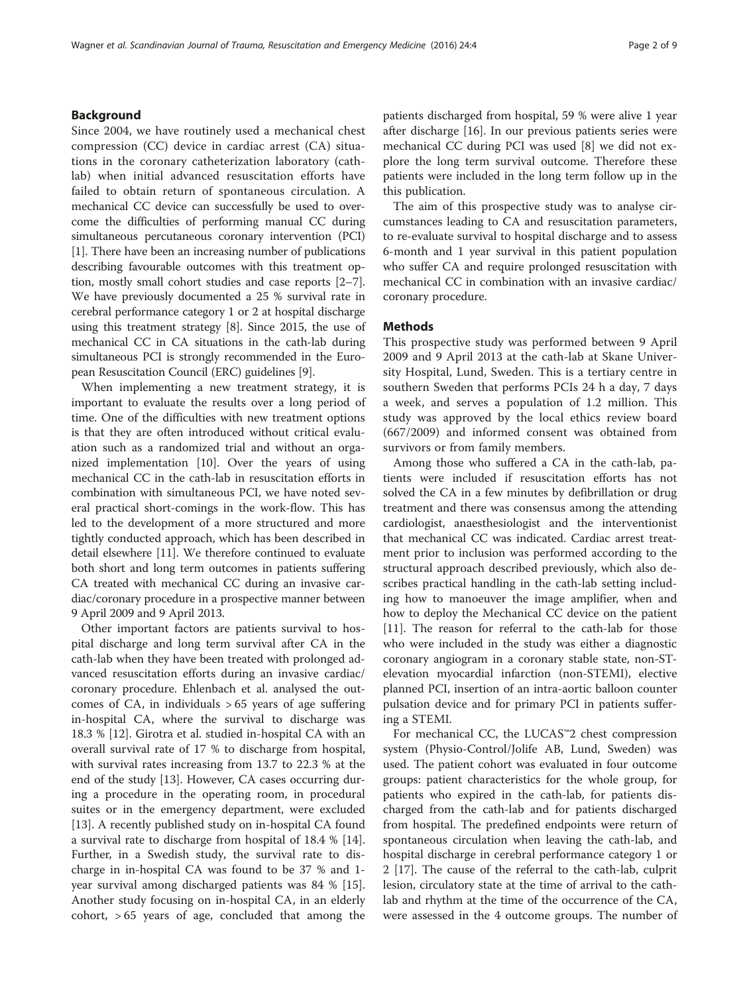## Background

Since 2004, we have routinely used a mechanical chest compression (CC) device in cardiac arrest (CA) situations in the coronary catheterization laboratory (cathlab) when initial advanced resuscitation efforts have failed to obtain return of spontaneous circulation. A mechanical CC device can successfully be used to overcome the difficulties of performing manual CC during simultaneous percutaneous coronary intervention (PCI) [[1\]](#page-7-0). There have been an increasing number of publications describing favourable outcomes with this treatment option, mostly small cohort studies and case reports [[2](#page-7-0)–[7](#page-7-0)]. We have previously documented a 25 % survival rate in cerebral performance category 1 or 2 at hospital discharge using this treatment strategy [[8\]](#page-7-0). Since 2015, the use of mechanical CC in CA situations in the cath-lab during simultaneous PCI is strongly recommended in the European Resuscitation Council (ERC) guidelines [[9](#page-7-0)].

When implementing a new treatment strategy, it is important to evaluate the results over a long period of time. One of the difficulties with new treatment options is that they are often introduced without critical evaluation such as a randomized trial and without an organized implementation [\[10](#page-7-0)]. Over the years of using mechanical CC in the cath-lab in resuscitation efforts in combination with simultaneous PCI, we have noted several practical short-comings in the work-flow. This has led to the development of a more structured and more tightly conducted approach, which has been described in detail elsewhere [\[11\]](#page-7-0). We therefore continued to evaluate both short and long term outcomes in patients suffering CA treated with mechanical CC during an invasive cardiac/coronary procedure in a prospective manner between 9 April 2009 and 9 April 2013.

Other important factors are patients survival to hospital discharge and long term survival after CA in the cath-lab when they have been treated with prolonged advanced resuscitation efforts during an invasive cardiac/ coronary procedure. Ehlenbach et al. analysed the outcomes of  $CA$ , in individuals  $> 65$  years of age suffering in-hospital CA, where the survival to discharge was 18.3 % [[12](#page-7-0)]. Girotra et al. studied in-hospital CA with an overall survival rate of 17 % to discharge from hospital, with survival rates increasing from 13.7 to 22.3 % at the end of the study [\[13](#page-7-0)]. However, CA cases occurring during a procedure in the operating room, in procedural suites or in the emergency department, were excluded [[13\]](#page-7-0). A recently published study on in-hospital CA found a survival rate to discharge from hospital of 18.4 % [\[14](#page-7-0)]. Further, in a Swedish study, the survival rate to discharge in in-hospital CA was found to be 37 % and 1 year survival among discharged patients was 84 % [\[15](#page-7-0)]. Another study focusing on in-hospital CA, in an elderly cohort, > 65 years of age, concluded that among the patients discharged from hospital, 59 % were alive 1 year after discharge [[16](#page-7-0)]. In our previous patients series were mechanical CC during PCI was used [\[8](#page-7-0)] we did not explore the long term survival outcome. Therefore these patients were included in the long term follow up in the this publication.

The aim of this prospective study was to analyse circumstances leading to CA and resuscitation parameters, to re-evaluate survival to hospital discharge and to assess 6-month and 1 year survival in this patient population who suffer CA and require prolonged resuscitation with mechanical CC in combination with an invasive cardiac/ coronary procedure.

## **Methods**

This prospective study was performed between 9 April 2009 and 9 April 2013 at the cath-lab at Skane University Hospital, Lund, Sweden. This is a tertiary centre in southern Sweden that performs PCIs 24 h a day, 7 days a week, and serves a population of 1.2 million. This study was approved by the local ethics review board (667/2009) and informed consent was obtained from survivors or from family members.

Among those who suffered a CA in the cath-lab, patients were included if resuscitation efforts has not solved the CA in a few minutes by defibrillation or drug treatment and there was consensus among the attending cardiologist, anaesthesiologist and the interventionist that mechanical CC was indicated. Cardiac arrest treatment prior to inclusion was performed according to the structural approach described previously, which also describes practical handling in the cath-lab setting including how to manoeuver the image amplifier, when and how to deploy the Mechanical CC device on the patient [[11\]](#page-7-0). The reason for referral to the cath-lab for those who were included in the study was either a diagnostic coronary angiogram in a coronary stable state, non-STelevation myocardial infarction (non-STEMI), elective planned PCI, insertion of an intra-aortic balloon counter pulsation device and for primary PCI in patients suffering a STEMI.

For mechanical CC, the LUCAS™2 chest compression system (Physio-Control/Jolife AB, Lund, Sweden) was used. The patient cohort was evaluated in four outcome groups: patient characteristics for the whole group, for patients who expired in the cath-lab, for patients discharged from the cath-lab and for patients discharged from hospital. The predefined endpoints were return of spontaneous circulation when leaving the cath-lab, and hospital discharge in cerebral performance category 1 or 2 [[17](#page-7-0)]. The cause of the referral to the cath-lab, culprit lesion, circulatory state at the time of arrival to the cathlab and rhythm at the time of the occurrence of the CA, were assessed in the 4 outcome groups. The number of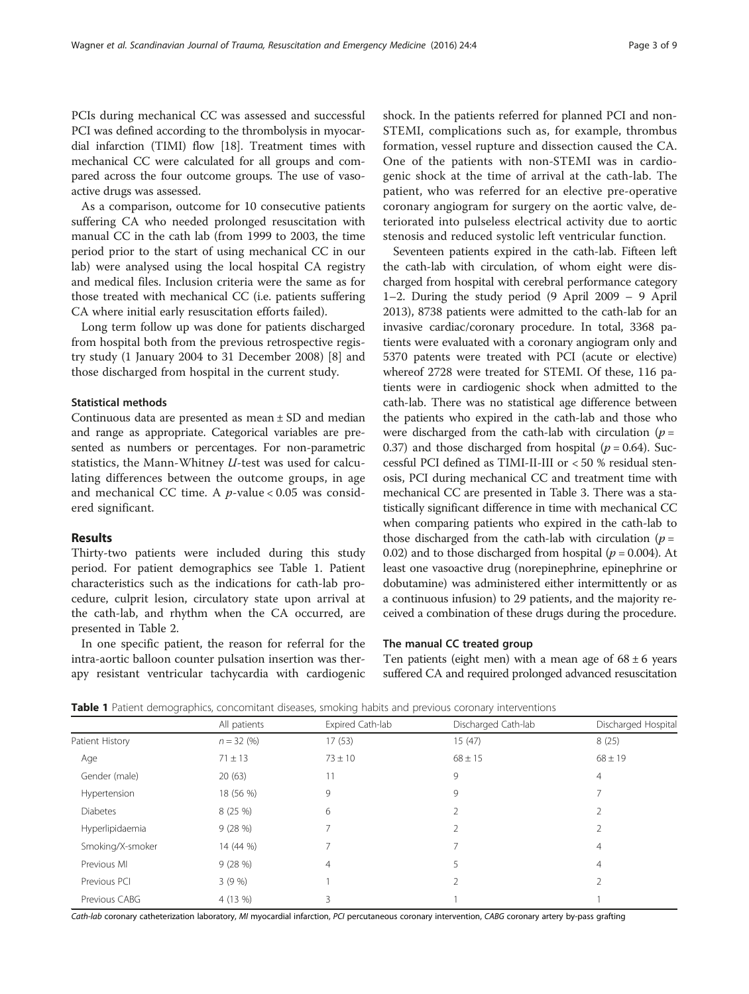PCIs during mechanical CC was assessed and successful PCI was defined according to the thrombolysis in myocardial infarction (TIMI) flow [[18](#page-7-0)]. Treatment times with mechanical CC were calculated for all groups and compared across the four outcome groups. The use of vasoactive drugs was assessed.

As a comparison, outcome for 10 consecutive patients suffering CA who needed prolonged resuscitation with manual CC in the cath lab (from 1999 to 2003, the time period prior to the start of using mechanical CC in our lab) were analysed using the local hospital CA registry and medical files. Inclusion criteria were the same as for those treated with mechanical CC (i.e. patients suffering CA where initial early resuscitation efforts failed).

Long term follow up was done for patients discharged from hospital both from the previous retrospective registry study (1 January 2004 to 31 December 2008) [\[8\]](#page-7-0) and those discharged from hospital in the current study.

### Statistical methods

Continuous data are presented as mean ± SD and median and range as appropriate. Categorical variables are presented as numbers or percentages. For non-parametric statistics, the Mann-Whitney U-test was used for calculating differences between the outcome groups, in age and mechanical CC time. A  $p$ -value < 0.05 was considered significant.

#### Results

Thirty-two patients were included during this study period. For patient demographics see Table 1. Patient characteristics such as the indications for cath-lab procedure, culprit lesion, circulatory state upon arrival at the cath-lab, and rhythm when the CA occurred, are presented in Table [2](#page-3-0).

In one specific patient, the reason for referral for the intra-aortic balloon counter pulsation insertion was therapy resistant ventricular tachycardia with cardiogenic shock. In the patients referred for planned PCI and non-STEMI, complications such as, for example, thrombus formation, vessel rupture and dissection caused the CA. One of the patients with non-STEMI was in cardiogenic shock at the time of arrival at the cath-lab. The patient, who was referred for an elective pre-operative coronary angiogram for surgery on the aortic valve, deteriorated into pulseless electrical activity due to aortic stenosis and reduced systolic left ventricular function.

Seventeen patients expired in the cath-lab. Fifteen left the cath-lab with circulation, of whom eight were discharged from hospital with cerebral performance category 1–2. During the study period (9 April 2009 – 9 April 2013), 8738 patients were admitted to the cath-lab for an invasive cardiac/coronary procedure. In total, 3368 patients were evaluated with a coronary angiogram only and 5370 patents were treated with PCI (acute or elective) whereof 2728 were treated for STEMI. Of these, 116 patients were in cardiogenic shock when admitted to the cath-lab. There was no statistical age difference between the patients who expired in the cath-lab and those who were discharged from the cath-lab with circulation ( $p =$ 0.37) and those discharged from hospital  $(p = 0.64)$ . Successful PCI defined as TIMI-II-III or < 50 % residual stenosis, PCI during mechanical CC and treatment time with mechanical CC are presented in Table [3.](#page-3-0) There was a statistically significant difference in time with mechanical CC when comparing patients who expired in the cath-lab to those discharged from the cath-lab with circulation ( $p =$ 0.02) and to those discharged from hospital ( $p = 0.004$ ). At least one vasoactive drug (norepinephrine, epinephrine or dobutamine) was administered either intermittently or as a continuous infusion) to 29 patients, and the majority received a combination of these drugs during the procedure.

## The manual CC treated group

Ten patients (eight men) with a mean age of  $68 \pm 6$  years suffered CA and required prolonged advanced resuscitation

|  | Table 1 Patient demographics, concomitant diseases, smoking habits and previous coronary interventions |  |  |  |  |
|--|--------------------------------------------------------------------------------------------------------|--|--|--|--|
|--|--------------------------------------------------------------------------------------------------------|--|--|--|--|

|                  | All patients | Expired Cath-lab | Discharged Cath-lab      | Discharged Hospita |
|------------------|--------------|------------------|--------------------------|--------------------|
| Patient History  | $n = 32(96)$ | 17(53)           | 15(47)                   | 8(25)              |
| Age              | $71 \pm 13$  | $73 \pm 10$      | $68 \pm 15$              | $68 \pm 19$        |
| Gender (male)    | 20(63)       | 11               | 9                        | $\overline{4}$     |
| Hypertension     | 18 (56 %)    | 9                | 9                        | 7                  |
| <b>Diabetes</b>  | 8 (25 %)     | 6                |                          | 2                  |
| Hyperlipidaemia  | 9(28%)       |                  | $\overline{\phantom{a}}$ | 2                  |
| Smoking/X-smoker | 14 (44 %)    |                  |                          | 4                  |
| Previous MI      | 9(28%)       | 4                | 5                        | $\overline{4}$     |
| Previous PCI     | 3(9%)        |                  | 2                        | $\mathfrak{D}$     |
| Previous CABG    | 4 (13 %)     | 3                |                          |                    |

Cath-lab coronary catheterization laboratory, MI myocardial infarction, PCI percutaneous coronary intervention, CABG coronary artery by-pass grafting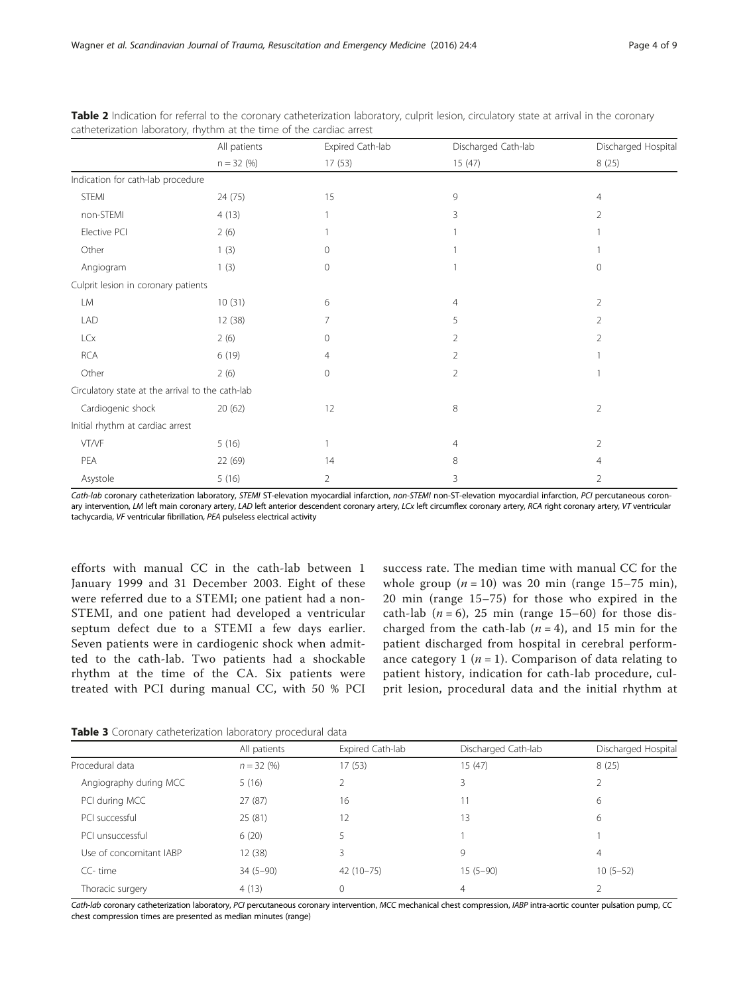|                                                  | All patients | Expired Cath-lab | Discharged Cath-lab | Discharged Hospital |
|--------------------------------------------------|--------------|------------------|---------------------|---------------------|
|                                                  | $n = 32(%)$  | 17(53)           | 15(47)              | 8(25)               |
| Indication for cath-lab procedure                |              |                  |                     |                     |
| <b>STEMI</b>                                     | 24 (75)      | 15               | 9                   | 4                   |
| non-STEMI                                        | 4(13)        |                  | 3                   | $\overline{2}$      |
| Elective PCI                                     | 2(6)         |                  |                     |                     |
| Other                                            | 1(3)         | $\Omega$         |                     |                     |
| Angiogram                                        | 1(3)         | $\mathbf{0}$     |                     | $\mathbf{0}$        |
| Culprit lesion in coronary patients              |              |                  |                     |                     |
| LM                                               | 10(31)       | 6                | $\overline{4}$      | $\overline{2}$      |
| <b>LAD</b>                                       | 12(38)       | 7                | 5                   | 2                   |
| LCx                                              | 2(6)         | $\Omega$         | $\overline{2}$      | $\overline{2}$      |
| <b>RCA</b>                                       | 6 (19)       | 4                | $\overline{2}$      |                     |
| Other                                            | 2(6)         | $\mathbf{0}$     | $\overline{2}$      |                     |
| Circulatory state at the arrival to the cath-lab |              |                  |                     |                     |
| Cardiogenic shock                                | 20(62)       | 12               | 8                   | $\overline{2}$      |
| Initial rhythm at cardiac arrest                 |              |                  |                     |                     |
| VT/VF                                            | 5(16)        | 1                | 4                   | $\overline{2}$      |
| PEA                                              | 22 (69)      | 14               | 8                   | 4                   |
| Asystole                                         | 5(16)        | $\overline{2}$   | 3                   | 2                   |

<span id="page-3-0"></span>Table 2 Indication for referral to the coronary catheterization laboratory, culprit lesion, circulatory state at arrival in the coronary catheterization laboratory, rhythm at the time of the cardiac arrest

Cath-lab coronary catheterization laboratory, STEMI ST-elevation myocardial infarction, non-STEMI non-ST-elevation myocardial infarction, PCI percutaneous coronary intervention, LM left main coronary artery, LAD left anterior descendent coronary artery, LCx left circumflex coronary artery, RCA right coronary artery, VT ventricular tachycardia, VF ventricular fibrillation, PEA pulseless electrical activity

efforts with manual CC in the cath-lab between 1 January 1999 and 31 December 2003. Eight of these were referred due to a STEMI; one patient had a non-STEMI, and one patient had developed a ventricular septum defect due to a STEMI a few days earlier. Seven patients were in cardiogenic shock when admitted to the cath-lab. Two patients had a shockable rhythm at the time of the CA. Six patients were treated with PCI during manual CC, with 50 % PCI success rate. The median time with manual CC for the whole group  $(n = 10)$  was 20 min (range 15–75 min), 20 min (range 15–75) for those who expired in the cath-lab  $(n = 6)$ , 25 min (range 15–60) for those discharged from the cath-lab  $(n = 4)$ , and 15 min for the patient discharged from hospital in cerebral performance category 1 ( $n = 1$ ). Comparison of data relating to patient history, indication for cath-lab procedure, culprit lesion, procedural data and the initial rhythm at

Table 3 Coronary catheterization laboratory procedural data

|                         | All patients | Expired Cath-lab | Discharged Cath-lab | Discharged Hospital |
|-------------------------|--------------|------------------|---------------------|---------------------|
| Procedural data         | $n = 32(96)$ | 17(53)           | 15(47)              | 8(25)               |
| Angiography during MCC  | 5(16)        |                  | 3                   |                     |
| PCI during MCC          | 27(87)       | 16               | 11                  | 6                   |
| PCI successful          | 25(81)       | 12               | 13                  | 6                   |
| PCI unsuccessful        | 6(20)        |                  |                     |                     |
| Use of concomitant IABP | 12 (38)      | 3                | 9                   | 4                   |
| CC- time                | $34(5-90)$   | 42 (10-75)       | $15(5-90)$          | $10(5-52)$          |
| Thoracic surgery        | 4(13)        |                  | $\overline{4}$      |                     |

Cath-lab coronary catheterization laboratory, PCI percutaneous coronary intervention, MCC mechanical chest compression, IABP intra-aortic counter pulsation pump, CC chest compression times are presented as median minutes (range)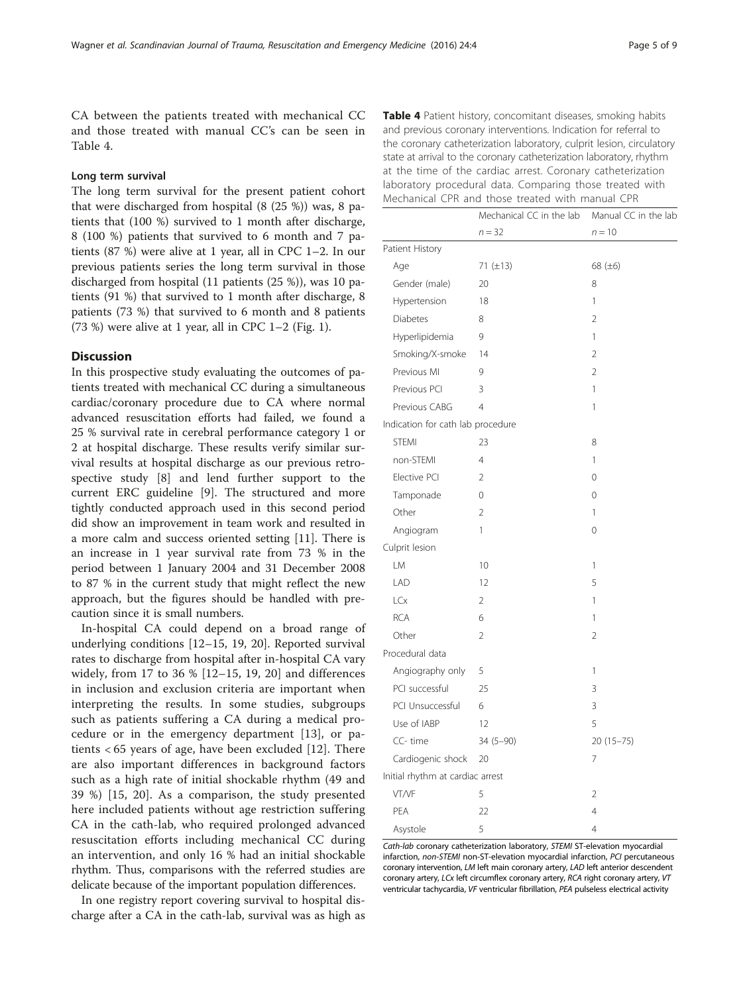<span id="page-4-0"></span>CA between the patients treated with mechanical CC and those treated with manual CC's can be seen in Table 4.

#### Long term survival

The long term survival for the present patient cohort that were discharged from hospital (8 (25 %)) was, 8 patients that (100 %) survived to 1 month after discharge, 8 (100 %) patients that survived to 6 month and 7 patients (87 %) were alive at 1 year, all in CPC 1–2. In our previous patients series the long term survival in those discharged from hospital (11 patients (25 %)), was 10 patients (91 %) that survived to 1 month after discharge, 8 patients (73 %) that survived to 6 month and 8 patients  $(73 \%)$  were alive at [1](#page-5-0) year, all in CPC 1–2 (Fig. 1).

#### **Discussion**

In this prospective study evaluating the outcomes of patients treated with mechanical CC during a simultaneous cardiac/coronary procedure due to CA where normal advanced resuscitation efforts had failed, we found a 25 % survival rate in cerebral performance category 1 or 2 at hospital discharge. These results verify similar survival results at hospital discharge as our previous retrospective study [[8\]](#page-7-0) and lend further support to the current ERC guideline [[9](#page-7-0)]. The structured and more tightly conducted approach used in this second period did show an improvement in team work and resulted in a more calm and success oriented setting [\[11](#page-7-0)]. There is an increase in 1 year survival rate from 73 % in the period between 1 January 2004 and 31 December 2008 to 87 % in the current study that might reflect the new approach, but the figures should be handled with precaution since it is small numbers.

In-hospital CA could depend on a broad range of underlying conditions [\[12](#page-7-0)–[15, 19](#page-7-0), [20\]](#page-7-0). Reported survival rates to discharge from hospital after in-hospital CA vary widely, from 17 to 36 % [[12](#page-7-0)–[15, 19](#page-7-0), [20\]](#page-7-0) and differences in inclusion and exclusion criteria are important when interpreting the results. In some studies, subgroups such as patients suffering a CA during a medical procedure or in the emergency department [\[13](#page-7-0)], or patients < 65 years of age, have been excluded [\[12](#page-7-0)]. There are also important differences in background factors such as a high rate of initial shockable rhythm (49 and 39 %) [[15](#page-7-0), [20\]](#page-7-0). As a comparison, the study presented here included patients without age restriction suffering CA in the cath-lab, who required prolonged advanced resuscitation efforts including mechanical CC during an intervention, and only 16 % had an initial shockable rhythm. Thus, comparisons with the referred studies are delicate because of the important population differences.

In one registry report covering survival to hospital discharge after a CA in the cath-lab, survival was as high as

Table 4 Patient history, concomitant diseases, smoking habits and previous coronary interventions. Indication for referral to the coronary catheterization laboratory, culprit lesion, circulatory state at arrival to the coronary catheterization laboratory, rhythm at the time of the cardiac arrest. Coronary catheterization laboratory procedural data. Comparing those treated with Mechanical CPR and those treated with manual CPR

|                                   | Mechanical CC in the lab | Manual CC in the lab |  |
|-----------------------------------|--------------------------|----------------------|--|
|                                   | $n = 32$                 | $n = 10$             |  |
| Patient History                   |                          |                      |  |
| Age                               | 71 (±13)                 | 68 $(\pm 6)$         |  |
| Gender (male)                     | 20                       | 8                    |  |
| Hypertension                      | 18                       | 1                    |  |
| <b>Diabetes</b>                   | 8                        | $\overline{2}$       |  |
| Hyperlipidemia                    | 9                        | 1                    |  |
| Smoking/X-smoke                   | 14                       | $\overline{2}$       |  |
| Previous MI                       | 9                        | $\overline{2}$       |  |
| Previous PCI                      | 3                        | 1                    |  |
| Previous CABG                     | $\overline{4}$           | 1                    |  |
| Indication for cath lab procedure |                          |                      |  |
| <b>STEMI</b>                      | 23                       | 8                    |  |
| non-STEMI                         | $\overline{4}$           | 1                    |  |
| Elective PCI                      | $\mathfrak{D}$           | $\Omega$             |  |
| Tamponade                         | 0                        | 0                    |  |
| Other                             | 2                        | 1                    |  |
| Angiogram                         | 1                        | $\mathbf 0$          |  |
| Culprit lesion                    |                          |                      |  |
| LM                                | 10                       | 1                    |  |
| LAD                               | 12                       | 5                    |  |
| LCx                               | 2                        | 1                    |  |
| <b>RCA</b>                        | 6                        | 1                    |  |
| Other                             | $\overline{2}$           | $\overline{2}$       |  |
| Procedural data                   |                          |                      |  |
| Angiography only                  | 5                        | $\mathbf{1}$         |  |
| PCI successful                    | 25                       | 3                    |  |
| PCI Unsuccessful                  | 6                        | 3                    |  |
| Use of IABP                       | 12                       | 5                    |  |
| CC-time                           | 34 (5-90)                | 20 (15-75)           |  |
| Cardiogenic shock                 | 20                       | $\overline{7}$       |  |
| Initial rhythm at cardiac arrest  |                          |                      |  |
| VT/VF                             | 5                        | $\overline{2}$       |  |
| PEA                               | 22                       | $\overline{4}$       |  |
| Asystole                          | 5                        | $\overline{4}$       |  |

Cath-lab coronary catheterization laboratory, STEMI ST-elevation myocardial infarction, non-STEMI non-ST-elevation myocardial infarction, PCI percutaneous coronary intervention, LM left main coronary artery, LAD left anterior descendent coronary artery, LCx left circumflex coronary artery, RCA right coronary artery, VT ventricular tachycardia, VF ventricular fibrillation, PEA pulseless electrical activity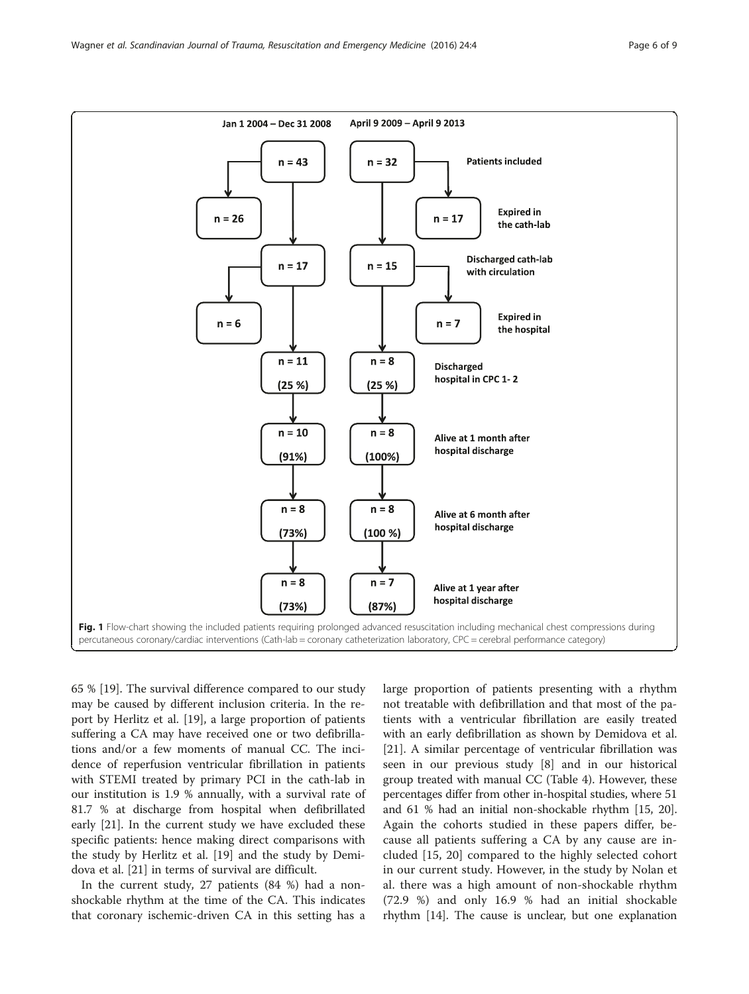<span id="page-5-0"></span>

65 % [\[19](#page-7-0)]. The survival difference compared to our study may be caused by different inclusion criteria. In the report by Herlitz et al. [\[19\]](#page-7-0), a large proportion of patients suffering a CA may have received one or two defibrillations and/or a few moments of manual CC. The incidence of reperfusion ventricular fibrillation in patients with STEMI treated by primary PCI in the cath-lab in our institution is 1.9 % annually, with a survival rate of 81.7 % at discharge from hospital when defibrillated early [\[21](#page-7-0)]. In the current study we have excluded these specific patients: hence making direct comparisons with the study by Herlitz et al. [[19](#page-7-0)] and the study by Demidova et al. [[21](#page-7-0)] in terms of survival are difficult.

In the current study, 27 patients (84 %) had a nonshockable rhythm at the time of the CA. This indicates that coronary ischemic-driven CA in this setting has a large proportion of patients presenting with a rhythm not treatable with defibrillation and that most of the patients with a ventricular fibrillation are easily treated with an early defibrillation as shown by Demidova et al. [[21\]](#page-7-0). A similar percentage of ventricular fibrillation was seen in our previous study [\[8\]](#page-7-0) and in our historical group treated with manual CC (Table [4\)](#page-4-0). However, these percentages differ from other in-hospital studies, where 51 and 61 % had an initial non-shockable rhythm [[15](#page-7-0), [20](#page-7-0)]. Again the cohorts studied in these papers differ, because all patients suffering a CA by any cause are included [\[15](#page-7-0), [20](#page-7-0)] compared to the highly selected cohort in our current study. However, in the study by Nolan et al. there was a high amount of non-shockable rhythm (72.9 %) and only 16.9 % had an initial shockable rhythm [\[14\]](#page-7-0). The cause is unclear, but one explanation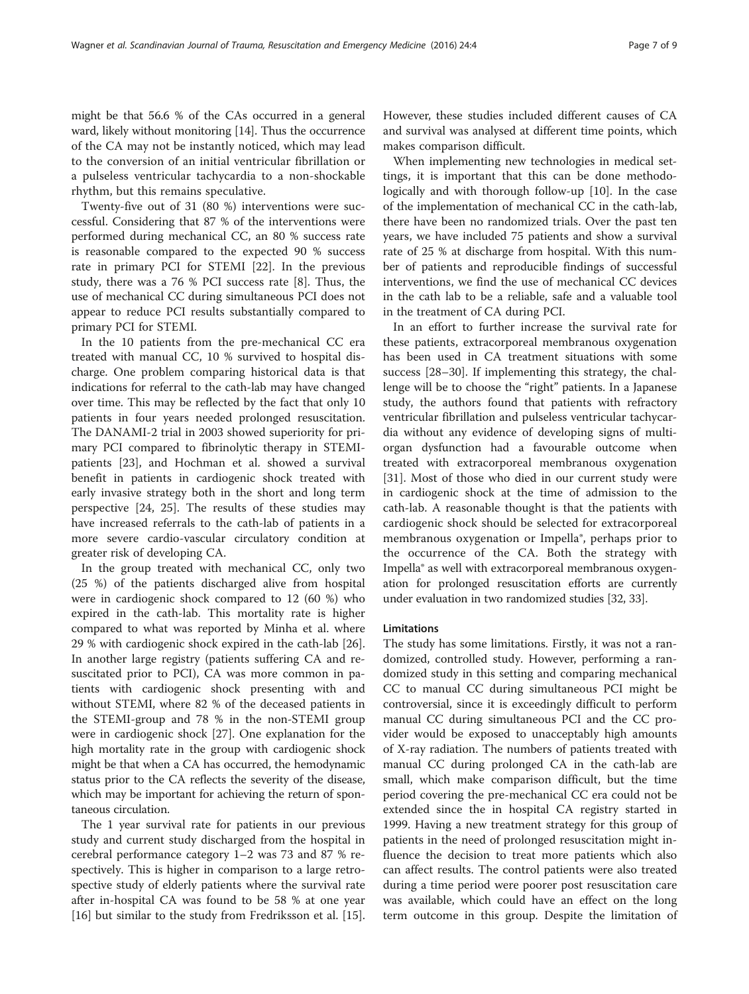might be that 56.6 % of the CAs occurred in a general ward, likely without monitoring [[14](#page-7-0)]. Thus the occurrence of the CA may not be instantly noticed, which may lead to the conversion of an initial ventricular fibrillation or a pulseless ventricular tachycardia to a non-shockable rhythm, but this remains speculative.

Twenty-five out of 31 (80 %) interventions were successful. Considering that 87 % of the interventions were performed during mechanical CC, an 80 % success rate is reasonable compared to the expected 90 % success rate in primary PCI for STEMI [[22](#page-7-0)]. In the previous study, there was a 76 % PCI success rate [[8](#page-7-0)]. Thus, the use of mechanical CC during simultaneous PCI does not appear to reduce PCI results substantially compared to primary PCI for STEMI.

In the 10 patients from the pre-mechanical CC era treated with manual CC, 10 % survived to hospital discharge. One problem comparing historical data is that indications for referral to the cath-lab may have changed over time. This may be reflected by the fact that only 10 patients in four years needed prolonged resuscitation. The DANAMI-2 trial in 2003 showed superiority for primary PCI compared to fibrinolytic therapy in STEMIpatients [[23](#page-7-0)], and Hochman et al. showed a survival benefit in patients in cardiogenic shock treated with early invasive strategy both in the short and long term perspective [[24, 25\]](#page-7-0). The results of these studies may have increased referrals to the cath-lab of patients in a more severe cardio-vascular circulatory condition at greater risk of developing CA.

In the group treated with mechanical CC, only two (25 %) of the patients discharged alive from hospital were in cardiogenic shock compared to 12 (60 %) who expired in the cath-lab. This mortality rate is higher compared to what was reported by Minha et al. where 29 % with cardiogenic shock expired in the cath-lab [\[26](#page-7-0)]. In another large registry (patients suffering CA and resuscitated prior to PCI), CA was more common in patients with cardiogenic shock presenting with and without STEMI, where 82 % of the deceased patients in the STEMI-group and 78 % in the non-STEMI group were in cardiogenic shock [[27\]](#page-8-0). One explanation for the high mortality rate in the group with cardiogenic shock might be that when a CA has occurred, the hemodynamic status prior to the CA reflects the severity of the disease, which may be important for achieving the return of spontaneous circulation.

The 1 year survival rate for patients in our previous study and current study discharged from the hospital in cerebral performance category 1–2 was 73 and 87 % respectively. This is higher in comparison to a large retrospective study of elderly patients where the survival rate after in-hospital CA was found to be 58 % at one year [[16\]](#page-7-0) but similar to the study from Fredriksson et al. [\[15](#page-7-0)]. However, these studies included different causes of CA and survival was analysed at different time points, which makes comparison difficult.

When implementing new technologies in medical settings, it is important that this can be done methodologically and with thorough follow-up [\[10\]](#page-7-0). In the case of the implementation of mechanical CC in the cath-lab, there have been no randomized trials. Over the past ten years, we have included 75 patients and show a survival rate of 25 % at discharge from hospital. With this number of patients and reproducible findings of successful interventions, we find the use of mechanical CC devices in the cath lab to be a reliable, safe and a valuable tool in the treatment of CA during PCI.

In an effort to further increase the survival rate for these patients, extracorporeal membranous oxygenation has been used in CA treatment situations with some success [\[28](#page-8-0)–[30\]](#page-8-0). If implementing this strategy, the challenge will be to choose the "right" patients. In a Japanese study, the authors found that patients with refractory ventricular fibrillation and pulseless ventricular tachycardia without any evidence of developing signs of multiorgan dysfunction had a favourable outcome when treated with extracorporeal membranous oxygenation [[31\]](#page-8-0). Most of those who died in our current study were in cardiogenic shock at the time of admission to the cath-lab. A reasonable thought is that the patients with cardiogenic shock should be selected for extracorporeal membranous oxygenation or Impella®, perhaps prior to the occurrence of the CA. Both the strategy with Impella® as well with extracorporeal membranous oxygenation for prolonged resuscitation efforts are currently under evaluation in two randomized studies [\[32, 33](#page-8-0)].

#### Limitations

The study has some limitations. Firstly, it was not a randomized, controlled study. However, performing a randomized study in this setting and comparing mechanical CC to manual CC during simultaneous PCI might be controversial, since it is exceedingly difficult to perform manual CC during simultaneous PCI and the CC provider would be exposed to unacceptably high amounts of X-ray radiation. The numbers of patients treated with manual CC during prolonged CA in the cath-lab are small, which make comparison difficult, but the time period covering the pre-mechanical CC era could not be extended since the in hospital CA registry started in 1999. Having a new treatment strategy for this group of patients in the need of prolonged resuscitation might influence the decision to treat more patients which also can affect results. The control patients were also treated during a time period were poorer post resuscitation care was available, which could have an effect on the long term outcome in this group. Despite the limitation of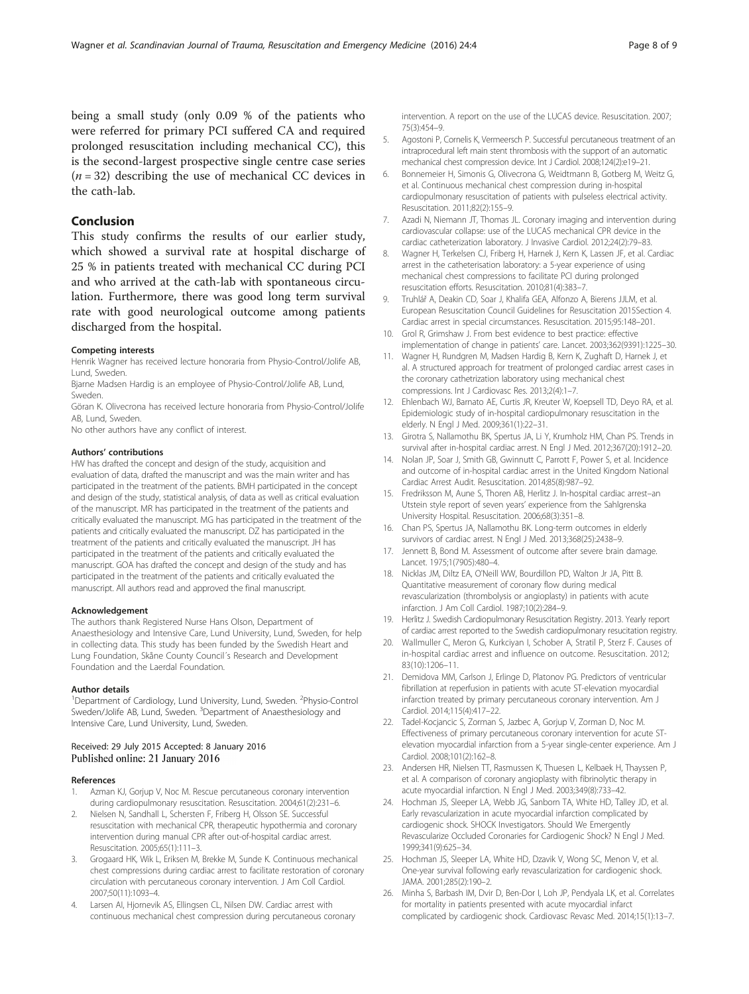<span id="page-7-0"></span>being a small study (only 0.09 % of the patients who were referred for primary PCI suffered CA and required prolonged resuscitation including mechanical CC), this is the second-largest prospective single centre case series  $(n = 32)$  describing the use of mechanical CC devices in the cath-lab.

### Conclusion

This study confirms the results of our earlier study, which showed a survival rate at hospital discharge of 25 % in patients treated with mechanical CC during PCI and who arrived at the cath-lab with spontaneous circulation. Furthermore, there was good long term survival rate with good neurological outcome among patients discharged from the hospital.

#### Competing interests

Henrik Wagner has received lecture honoraria from Physio-Control/Jolife AB, Lund, Sweden.

Bjarne Madsen Hardig is an employee of Physio-Control/Jolife AB, Lund, Sweden.

Göran K. Olivecrona has received lecture honoraria from Physio-Control/Jolife AB, Lund, Sweden.

No other authors have any conflict of interest.

#### Authors' contributions

HW has drafted the concept and design of the study, acquisition and evaluation of data, drafted the manuscript and was the main writer and has participated in the treatment of the patients. BMH participated in the concept and design of the study, statistical analysis, of data as well as critical evaluation of the manuscript. MR has participated in the treatment of the patients and critically evaluated the manuscript. MG has participated in the treatment of the patients and critically evaluated the manuscript. DZ has participated in the treatment of the patients and critically evaluated the manuscript. JH has participated in the treatment of the patients and critically evaluated the manuscript. GOA has drafted the concept and design of the study and has participated in the treatment of the patients and critically evaluated the manuscript. All authors read and approved the final manuscript.

#### Acknowledgement

The authors thank Registered Nurse Hans Olson, Department of Anaesthesiology and Intensive Care, Lund University, Lund, Sweden, for help in collecting data. This study has been funded by the Swedish Heart and Lung Foundation, Skåne County Council´s Research and Development Foundation and the Laerdal Foundation.

#### Author details

<sup>1</sup>Department of Cardiology, Lund University, Lund, Sweden. <sup>2</sup>Physio-Control Sweden/Jolife AB, Lund, Sweden. <sup>3</sup>Department of Anaesthesiology and Intensive Care, Lund University, Lund, Sweden.

#### Received: 29 July 2015 Accepted: 8 January 2016 Published online: 21 January 2016

#### References

- Azman KJ, Gorjup V, Noc M. Rescue percutaneous coronary intervention during cardiopulmonary resuscitation. Resuscitation. 2004;61(2):231–6.
- 2. Nielsen N, Sandhall L, Schersten F, Friberg H, Olsson SE. Successful resuscitation with mechanical CPR, therapeutic hypothermia and coronary intervention during manual CPR after out-of-hospital cardiac arrest. Resuscitation. 2005;65(1):111–3.
- 3. Grogaard HK, Wik L, Eriksen M, Brekke M, Sunde K. Continuous mechanical chest compressions during cardiac arrest to facilitate restoration of coronary circulation with percutaneous coronary intervention. J Am Coll Cardiol. 2007;50(11):1093–4.
- Larsen AI, Hjornevik AS, Ellingsen CL, Nilsen DW. Cardiac arrest with continuous mechanical chest compression during percutaneous coronary

intervention. A report on the use of the LUCAS device. Resuscitation. 2007; 75(3):454–9.

- 5. Agostoni P, Cornelis K, Vermeersch P. Successful percutaneous treatment of an intraprocedural left main stent thrombosis with the support of an automatic mechanical chest compression device. Int J Cardiol. 2008;124(2):e19–21.
- 6. Bonnemeier H, Simonis G, Olivecrona G, Weidtmann B, Gotberg M, Weitz G, et al. Continuous mechanical chest compression during in-hospital cardiopulmonary resuscitation of patients with pulseless electrical activity. Resuscitation. 2011;82(2):155–9.
- 7. Azadi N, Niemann JT, Thomas JL. Coronary imaging and intervention during cardiovascular collapse: use of the LUCAS mechanical CPR device in the cardiac catheterization laboratory. J Invasive Cardiol. 2012;24(2):79–83.
- 8. Wagner H, Terkelsen CJ, Friberg H, Harnek J, Kern K, Lassen JF, et al. Cardiac arrest in the catheterisation laboratory: a 5-year experience of using mechanical chest compressions to facilitate PCI during prolonged resuscitation efforts. Resuscitation. 2010;81(4):383–7.
- 9. Truhlář A, Deakin CD, Soar J, Khalifa GEA, Alfonzo A, Bierens JJLM, et al. European Resuscitation Council Guidelines for Resuscitation 2015Section 4. Cardiac arrest in special circumstances. Resuscitation. 2015;95:148–201.
- 10. Grol R, Grimshaw J. From best evidence to best practice: effective implementation of change in patients' care. Lancet. 2003;362(9391):1225–30.
- 11. Wagner H, Rundgren M, Madsen Hardig B, Kern K, Zughaft D, Harnek J, et al. A structured approach for treatment of prolonged cardiac arrest cases in the coronary cathetrization laboratory using mechanical chest compressions. Int J Cardiovasc Res. 2013;2(4):1–7.
- 12. Ehlenbach WJ, Barnato AE, Curtis JR, Kreuter W, Koepsell TD, Deyo RA, et al. Epidemiologic study of in-hospital cardiopulmonary resuscitation in the elderly. N Engl J Med. 2009;361(1):22–31.
- 13. Girotra S, Nallamothu BK, Spertus JA, Li Y, Krumholz HM, Chan PS. Trends in survival after in-hospital cardiac arrest. N Engl J Med. 2012;367(20):1912–20.
- 14. Nolan JP, Soar J, Smith GB, Gwinnutt C, Parrott F, Power S, et al. Incidence and outcome of in-hospital cardiac arrest in the United Kingdom National Cardiac Arrest Audit. Resuscitation. 2014;85(8):987–92.
- 15. Fredriksson M, Aune S, Thoren AB, Herlitz J. In-hospital cardiac arrest–an Utstein style report of seven years' experience from the Sahlgrenska University Hospital. Resuscitation. 2006;68(3):351–8.
- 16. Chan PS, Spertus JA, Nallamothu BK. Long-term outcomes in elderly survivors of cardiac arrest. N Engl J Med. 2013;368(25):2438–9.
- 17. Jennett B, Bond M. Assessment of outcome after severe brain damage. Lancet. 1975;1(7905):480–4.
- 18. Nicklas JM, Diltz EA, O'Neill WW, Bourdillon PD, Walton Jr JA, Pitt B. Quantitative measurement of coronary flow during medical revascularization (thrombolysis or angioplasty) in patients with acute infarction. J Am Coll Cardiol. 1987;10(2):284–9.
- 19. Herlitz J. Swedish Cardiopulmonary Resuscitation Registry. 2013. Yearly report of cardiac arrest reported to the Swedish cardiopulmonary resucitation registry.
- 20. Wallmuller C, Meron G, Kurkciyan I, Schober A, Stratil P, Sterz F. Causes of in-hospital cardiac arrest and influence on outcome. Resuscitation. 2012; 83(10):1206–11.
- 21. Demidova MM, Carlson J, Erlinge D, Platonov PG. Predictors of ventricular fibrillation at reperfusion in patients with acute ST-elevation myocardial infarction treated by primary percutaneous coronary intervention. Am J Cardiol. 2014;115(4):417–22.
- 22. Tadel-Kocjancic S, Zorman S, Jazbec A, Gorjup V, Zorman D, Noc M. Effectiveness of primary percutaneous coronary intervention for acute STelevation myocardial infarction from a 5-year single-center experience. Am J Cardiol. 2008;101(2):162–8.
- 23. Andersen HR, Nielsen TT, Rasmussen K, Thuesen L, Kelbaek H, Thayssen P, et al. A comparison of coronary angioplasty with fibrinolytic therapy in acute myocardial infarction. N Engl J Med. 2003;349(8):733–42.
- 24. Hochman JS, Sleeper LA, Webb JG, Sanborn TA, White HD, Talley JD, et al. Early revascularization in acute myocardial infarction complicated by cardiogenic shock. SHOCK Investigators. Should We Emergently Revascularize Occluded Coronaries for Cardiogenic Shock? N Engl J Med. 1999;341(9):625–34.
- 25. Hochman JS, Sleeper LA, White HD, Dzavik V, Wong SC, Menon V, et al. One-year survival following early revascularization for cardiogenic shock. JAMA. 2001;285(2):190–2.
- 26. Minha S, Barbash IM, Dvir D, Ben-Dor I, Loh JP, Pendyala LK, et al. Correlates for mortality in patients presented with acute myocardial infarct complicated by cardiogenic shock. Cardiovasc Revasc Med. 2014;15(1):13–7.